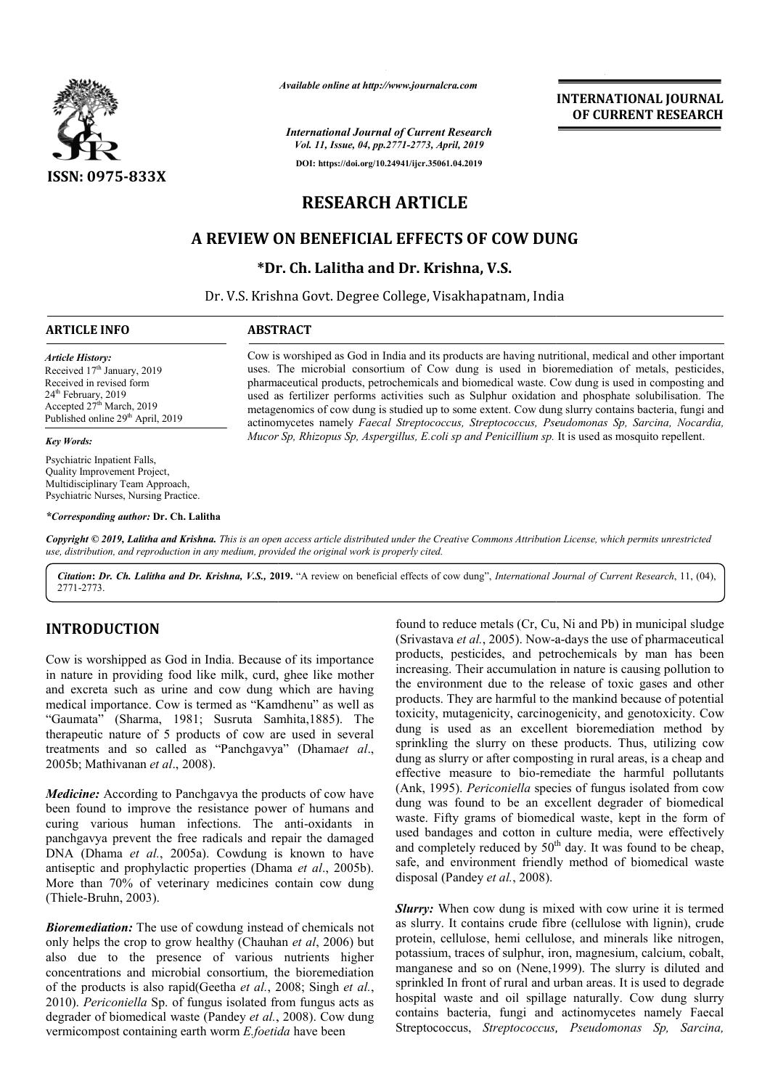

*Available online at http://www.journalcra.com*

*International Journal of Current Research Vol. 11, Issue, 04, pp.2771-2773, April, 2019*

**DOI: https://doi.org/10.24941/ijcr.35061.04.2019**

## **INTERNATIONAL JOURNAL OF CURRENT RESEARCH**

# **RESEARCH ARTICLE**

## **A REVIEW ON BENEFICIAL EFFECTS OF COW DUNG**

**\*Dr. Dr. Ch. Lalitha and Dr. Krishna, V.S.**

Dr. V.S. Krishna Govt. Degree College, Visakhapatnam, India

#### **ARTICLE INFO ABSTRACT**

*Article History:* Received 17<sup>th</sup> January, 2019 Received in revised form 24<sup>th</sup> February, 2019 Accepted 27<sup>th</sup> March, 2019 Published online 29<sup>th</sup> April, 2019

*Key Words:*

Psychiatric Inpatient Falls, Quality Improvement Project, Multidisciplinary Team Approach, Psychiatric Nurses, Nursing Practice.

*\*Corresponding author:* **Dr. Ch. Lalitha**

Cow is worshiped as God in India and its products are having nutritional, medical and other important uses. The microbial consortium of Cow dung is used in bioremediation of metals, pesticides, pharmaceutical products, petrochemicals and biomedical waste. Cow dung is used in composting and used as fertilizer performs activities such as Sulphur oxidation and phosphate solubilisation. The metagenomics of cow dung is studied up to some extent. Cow dung slurry contains bacteria, fungi and actinomycetes namely *Faecal Streptococcus, Streptococcus, Pseudomonas Sp, Sarcina, Nocardia, Streptococcus, Mucor Sp, Rhizopus Sp, Aspergillus, E.coli sp and Penicillium sp.* It is used as mosquito repellent.

Copyright © 2019, Lalitha and Krishna. This is an open access article distributed under the Creative Commons Attribution License, which permits unrestrictea *use, distribution, and reproduction in any medium, provided the original work is properly cited.*

*Citation***:** *Dr. Ch. Lalitha and Dr. Krishna, V.S.,* **2019.** "A review on beneficial effects of cow dung", *International Journal of Current Research Journal* , 11, (04), 2771-2773.

## **INTRODUCTION**

Cow is worshipped as God in India. Because of its importance in nature in providing food like milk, curd, ghee like mother and excreta such as urine and cow dung which are having medical importance. Cow is termed as "Kamdhenu" as well as "Gaumata" (Sharma, 1981; Susruta Samhita,1885 Samhita,1885). The therapeutic nature of 5 products of cow are used in several treatments and so called as "Panchgavya" ( (Dhama*et al*., 2005b; Mathivanan *et al*., 2008).

*Medicine:* According to Panchgavya the products of cow have been found to improve the resistance power of humans and curing various human infections. The anti-oxidants in panchgavya prevent the free radicals and repair the damaged DNA (Dhama *et al.*, 2005a). Cowdung is known to have antiseptic and prophylactic properties (Dhama et al., 2005b). More than 70% of veterinary medicines contain cow dung (Thiele-Bruhn, 2003).

*Bioremediation:* The use of cowdung instead of chemicals not only helps the crop to grow healthy (Chauhan *et al*, 2006) but also due to the presence of various nutrients higher concentrations and microbial consortium, the bioremediation of the products is also rapid(Geetha *et al.*, 2008; Singh *et al.*, 2010). *Periconiella* Sp. of fungus isolated from fungus acts as degrader of biomedical waste (Pandey et al., 2008). Cow dung vermicompost containing earth worm *E.foetida* have been

found to reduce metals (Cr, Cu, Ni and Pb) in municipal sludge (Srivastava et al., 2005). Now-a-days the use of pharmaceutical products, pesticides, and petrochemicals by man has been increasing. Their accumulation in nature is causing pollution to the environment due to the release of toxic gases and other products. They are harmful to the mankind because of potential toxicity, mutagenicity, carcinogenicity, and genotoxicity. Cow products, pesticides, and petrochemicals by man has been<br>increasing. Their accumulation in nature is causing pollution to<br>the environment due to the release of toxic gases and other<br>products. They are harmful to the mankin sprinkling the slurry on these products. Thus, utilizing cow dung as slurry or after composting in rural areas, is a cheap and effective measure to bio-remediate the harmful pollutants dung as slurry or after composting in rural areas, is a cheap and effective measure to bio-remediate the harmful pollutants (Ank, 1995). *Periconiella* species of fungus isolated from cow dung was found to be an excellent degrader of biomedical waste. Fifty grams of biomedical waste, kept in the form of used bandages and cotton in culture media, were effectively dung was found to be an excellent degrader of biomedical waste. Fifty grams of biomedical waste, kept in the form of used bandages and cotton in culture media, were effectively and completely reduced by 50<sup>th</sup> day. It was safe, and environment friendly method of biomedical waste disposal (Pandey *et al.*, 2008).

*Slurry:* When cow dung is mixed with cow urine it is termed as slurry. It contains crude fibre (cellulose with lignin), crude protein, cellulose, hemi cellulose, and minerals like nitrogen, potassium, traces of sulphur, iron, magnesium, calcium, cobalt, **Slurry:** When cow dung is mixed with cow urine it is termed as slurry. It contains crude fibre (cellulose with lignin), crude protein, cellulose, hemi cellulose, and minerals like nitrogen, potassium, traces of sulphur, i sprinkled In front of rural and urban areas. It is used to degrade hospital waste and oil spillage naturally. Cow dung slurry contains bacteria, fungi and actinomycetes namely Faecal Streptococcus, *Streptococcus, Pseudomonas Sp, Sarcina,*  n front of rural and urban areas. It is used to d<br>aste and oil spillage naturally. Cow dung<br>acteria, fungi and actinomycetes namely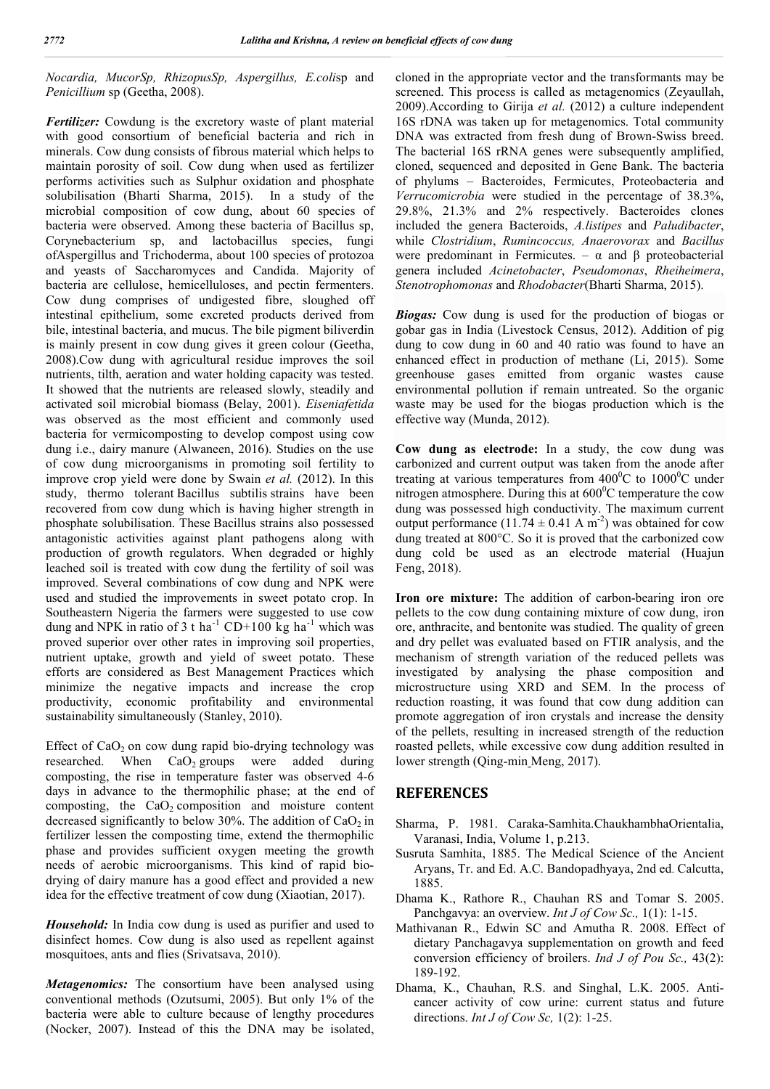*Nocardia, MucorSp, RhizopusSp, Aspergillus, E.coli*sp and *Penicillium* sp (Geetha, 2008).

*Fertilizer:* Cowdung is the excretory waste of plant material with good consortium of beneficial bacteria and rich in minerals. Cow dung consists of fibrous material which helps to maintain porosity of soil. Cow dung when used as fertilizer performs activities such as Sulphur oxidation and phosphate solubilisation (Bharti Sharma, 2015). In a study of the microbial composition of cow dung, about 60 species of bacteria were observed. Among these bacteria of Bacillus sp, Corynebacterium sp, and lactobacillus species, fungi ofAspergillus and Trichoderma, about 100 species of protozoa and yeasts of Saccharomyces and Candida. Majority of bacteria are cellulose, hemicelluloses, and pectin fermenters. Cow dung comprises of undigested fibre, sloughed off intestinal epithelium, some excreted products derived from bile, intestinal bacteria, and mucus. The bile pigment biliverdin is mainly present in cow dung gives it green colour (Geetha, 2008).Cow dung with agricultural residue improves the soil nutrients, tilth, aeration and water holding capacity was tested. It showed that the nutrients are released slowly, steadily and activated soil microbial biomass (Belay, 2001). *Eiseniafetida* was observed as the most efficient and commonly used bacteria for vermicomposting to develop compost using cow dung i.e., dairy manure (Alwaneen, 2016). Studies on the use of cow dung microorganisms in promoting soil fertility to improve crop yield were done by Swain *et al.* (2012). In this study, thermo tolerant Bacillus subtilis strains have been recovered from cow dung which is having higher strength in phosphate solubilisation. These Bacillus strains also possessed antagonistic activities against plant pathogens along with production of growth regulators. When degraded or highly leached soil is treated with cow dung the fertility of soil was improved. Several combinations of cow dung and NPK were used and studied the improvements in sweet potato crop. In Southeastern Nigeria the farmers were suggested to use cow dung and NPK in ratio of 3 t ha<sup>-1</sup> CD+100 kg ha<sup>-1</sup> which was proved superior over other rates in improving soil properties, nutrient uptake, growth and yield of sweet potato. These efforts are considered as Best Management Practices which minimize the negative impacts and increase the crop productivity, economic profitability and environmental sustainability simultaneously (Stanley, 2010).

Effect of  $CaO<sub>2</sub>$  on cow dung rapid bio-drying technology was researched. When CaO<sub>2</sub> groups were added during composting, the rise in temperature faster was observed 4-6 days in advance to the thermophilic phase; at the end of composting, the  $CaO<sub>2</sub>$  composition and moisture content decreased significantly to below 30%. The addition of  $CaO<sub>2</sub>$  in fertilizer lessen the composting time, extend the thermophilic phase and provides sufficient oxygen meeting the growth needs of aerobic microorganisms. This kind of rapid biodrying of dairy manure has a good effect and provided a new idea for the effective treatment of cow dung (Xiaotian, 2017).

*Household:* In India cow dung is used as purifier and used to disinfect homes. Cow dung is also used as repellent against mosquitoes, ants and flies (Srivatsava, 2010).

*Metagenomics:* The consortium have been analysed using conventional methods (Ozutsumi, 2005). But only 1% of the bacteria were able to culture because of lengthy procedures (Nocker, 2007). Instead of this the DNA may be isolated,

cloned in the appropriate vector and the transformants may be screened. This process is called as metagenomics (Zeyaullah, 2009).According to Girija *et al.* (2012) a culture independent 16S rDNA was taken up for metagenomics. Total community DNA was extracted from fresh dung of Brown-Swiss breed. The bacterial 16S rRNA genes were subsequently amplified, cloned, sequenced and deposited in Gene Bank. The bacteria of phylums – Bacteroides, Fermicutes, Proteobacteria and *Verrucomicrobia* were studied in the percentage of 38.3%, 29.8%, 21.3% and 2% respectively. Bacteroides clones included the genera Bacteroids, *A.listipes* and *Paludibacter*, while *Clostridium*, *Rumincoccus, Anaerovorax* and *Bacillus* were predominant in Fermicutes. –  $\alpha$  and  $\beta$  proteobacterial genera included *Acinetobacter*, *Pseudomonas*, *Rheiheimera*, *Stenotrophomonas* and *Rhodobacter*(Bharti Sharma, 2015).

*Biogas:* Cow dung is used for the production of biogas or gobar gas in India (Livestock Census, 2012). Addition of pig dung to cow dung in 60 and 40 ratio was found to have an enhanced effect in production of methane (Li, 2015). Some greenhouse gases emitted from organic wastes cause environmental pollution if remain untreated. So the organic waste may be used for the biogas production which is the effective way (Munda, 2012).

**Cow dung as electrode:** In a study, the cow dung was carbonized and current output was taken from the anode after treating at various temperatures from  $400^{\circ}$ C to  $1000^{\circ}$ C under nitrogen atmosphere. During this at  $600^{\circ}$ C temperature the cow dung was possessed high conductivity. The maximum current output performance  $(11.74 \pm 0.41 \text{ A m}^{-2})$  was obtained for cow dung treated at 800°C. So it is proved that the carbonized cow dung cold be used as an electrode material (Huajun Feng, 2018).

**Iron ore mixture:** The addition of carbon-bearing iron ore pellets to the cow dung containing mixture of cow dung, iron ore, anthracite, and bentonite was studied. The quality of green and dry pellet was evaluated based on FTIR analysis, and the mechanism of strength variation of the reduced pellets was investigated by analysing the phase composition and microstructure using XRD and SEM. In the process of reduction roasting, it was found that cow dung addition can promote aggregation of iron crystals and increase the density of the pellets, resulting in increased strength of the reduction roasted pellets, while excessive cow dung addition resulted in lower strength (Qing-min Meng, 2017).

### **REFERENCES**

- Sharma, P. 1981. Caraka-Samhita.ChaukhambhaOrientalia, Varanasi, India, Volume 1, p.213.
- Susruta Samhita, 1885. The Medical Science of the Ancient Aryans, Tr. and Ed. A.C. Bandopadhyaya, 2nd ed. Calcutta, 1885.
- Dhama K., Rathore R., Chauhan RS and Tomar S. 2005. Panchgavya: an overview. *Int J of Cow Sc.,* 1(1): 1-15.
- Mathivanan R., Edwin SC and Amutha R. 2008. Effect of dietary Panchagavya supplementation on growth and feed conversion efficiency of broilers. *Ind J of Pou Sc.,* 43(2): 189-192.
- Dhama, K., Chauhan, R.S. and Singhal, L.K. 2005. Anticancer activity of cow urine: current status and future directions. *Int J of Cow Sc,* 1(2): 1-25.